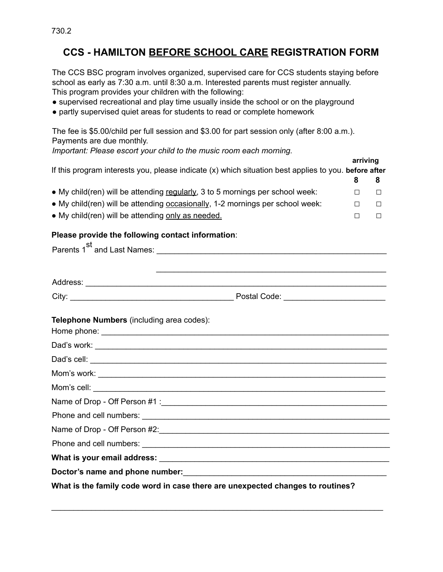## **CCS - HAMILTON BEFORE SCHOOL CARE REGISTRATION FORM**

The CCS BSC program involves organized, supervised care for CCS students staying before school as early as 7:30 a.m. until 8:30 a.m. Interested parents must register annually. This program provides your children with the following:

- supervised recreational and play time usually inside the school or on the playground
- partly supervised quiet areas for students to read or complete homework

The fee is \$5.00/child per full session and \$3.00 for part session only (after 8:00 a.m.). Payments are due monthly. *Important: Please escort your child to the music room each morning.* **arriving** If this program interests you, please indicate (x) which situation best applies to you. **before after 8 8** ● My child(ren) will be attending regularly, 3 to 5 mornings per school week: **□ □** ● My child(ren) will be attending occasionally, 1-2 mornings per school week: **□ □** ● My child(ren) will be attending only as needed. **□ □ Please provide the following contact information**: Parents 1 st and Last Names: \_\_\_\_\_\_\_\_\_\_\_\_\_\_\_\_\_\_\_\_\_\_\_\_\_\_\_\_\_\_\_\_\_\_\_\_\_\_\_\_\_\_\_\_\_\_\_\_\_\_\_\_ \_\_\_\_\_\_\_\_\_\_\_\_\_\_\_\_\_\_\_\_\_\_\_\_\_\_\_\_\_\_\_\_\_\_\_\_\_\_\_\_\_\_\_\_\_\_\_\_\_\_\_\_ Address: \_\_\_\_\_\_\_\_\_\_\_\_\_\_\_\_\_\_\_\_\_\_\_\_\_\_\_\_\_\_\_\_\_\_\_\_\_\_\_\_\_\_\_\_\_\_\_\_\_\_\_\_\_\_\_\_\_\_\_\_\_\_\_\_\_\_\_\_ City: \_\_\_\_\_\_\_\_\_\_\_\_\_\_\_\_\_\_\_\_\_\_\_\_\_\_\_\_\_\_\_\_\_\_\_\_\_ Postal Code: \_\_\_\_\_\_\_\_\_\_\_\_\_\_\_\_\_\_\_\_\_\_\_ **Telephone Numbers** (including area codes): Home phone: \_\_\_\_\_\_\_\_\_\_\_\_\_\_\_\_\_\_\_\_\_\_\_\_\_\_\_\_\_\_\_\_\_\_\_\_\_\_\_\_\_\_\_\_\_\_\_\_\_\_\_\_\_\_\_\_\_\_\_\_\_\_\_\_\_ Dad's work: \_\_\_\_\_\_\_\_\_\_\_\_\_\_\_\_\_\_\_\_\_\_\_\_\_\_\_\_\_\_\_\_\_\_\_\_\_\_\_\_\_\_\_\_\_\_\_\_\_\_\_\_\_\_\_\_\_\_\_\_\_\_\_\_\_\_ Dad's cell: \_\_\_\_\_\_\_\_\_\_\_\_\_\_\_\_\_\_\_\_\_\_\_\_\_\_\_\_\_\_\_\_\_\_\_\_\_\_\_\_\_\_\_\_\_\_\_\_\_\_\_\_\_\_\_\_\_\_\_\_\_\_\_\_\_\_\_ Mom's work: Mom's cell: Name of Drop - Off Person #1 : Phone and cell numbers:  $\blacksquare$ Name of Drop - Off Person #2: Phone and cell numbers: \_\_\_\_\_\_\_\_\_\_\_\_\_\_\_\_\_\_\_\_\_\_\_\_\_\_\_\_\_\_\_\_\_\_\_\_\_\_\_\_\_\_\_\_\_\_\_\_\_\_\_\_\_\_\_\_ **What is your email address:** \_\_\_\_\_\_\_\_\_\_\_\_\_\_\_\_\_\_\_\_\_\_\_\_\_\_\_\_\_\_\_\_\_\_\_\_\_\_\_\_\_\_\_\_\_\_\_\_\_\_\_\_

**Doctor's name and phone number:**\_\_\_\_\_\_\_\_\_\_\_\_\_\_\_\_\_\_\_\_\_\_\_\_\_\_\_\_\_\_\_\_\_\_\_\_\_\_\_\_\_\_\_\_\_\_

**What is the family code word in case there are unexpected changes to routines?**

\_\_\_\_\_\_\_\_\_\_\_\_\_\_\_\_\_\_\_\_\_\_\_\_\_\_\_\_\_\_\_\_\_\_\_\_\_\_\_\_\_\_\_\_\_\_\_\_\_\_\_\_\_\_\_\_\_\_\_\_\_\_\_\_\_\_\_\_\_\_\_\_\_\_\_